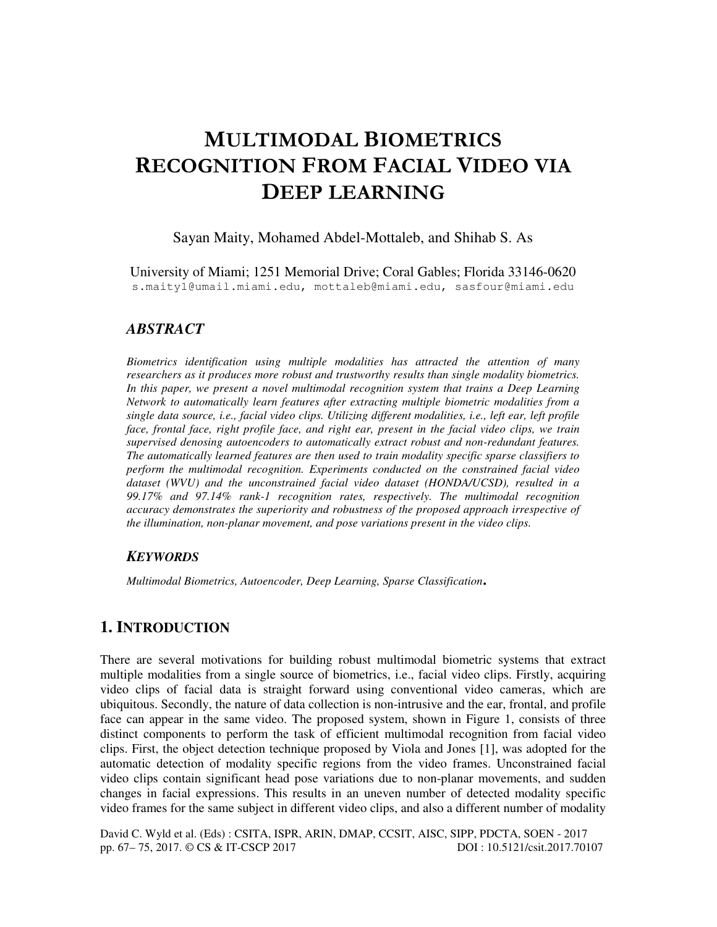# MULTIMODAL BIOMETRICS RECOGNITION FROM FACIAL VIDEO VIA DEEP LEARNING

### Sayan Maity, Mohamed Abdel-Mottaleb, and Shihab S. As

University of Miami; 1251 Memorial Drive; Coral Gables; Florida 33146-0620 s.maity1@umail.miami.edu, mottaleb@miami.edu, sasfour@miami.edu

# *ABSTRACT*

*Biometrics identification using multiple modalities has attracted the attention of many researchers as it produces more robust and trustworthy results than single modality biometrics.*  In this paper, we present a novel multimodal recognition system that trains a Deep Learning *Network to automatically learn features after extracting multiple biometric modalities from a single data source, i.e., facial video clips. Utilizing different modalities, i.e., left ear, left profile face, frontal face, right profile face, and right ear, present in the facial video clips, we train supervised denosing autoencoders to automatically extract robust and non-redundant features. The automatically learned features are then used to train modality specific sparse classifiers to perform the multimodal recognition. Experiments conducted on the constrained facial video dataset (WVU) and the unconstrained facial video dataset (HONDA/UCSD), resulted in a 99.17% and 97.14% rank-1 recognition rates, respectively. The multimodal recognition accuracy demonstrates the superiority and robustness of the proposed approach irrespective of the illumination, non-planar movement, and pose variations present in the video clips.* 

### *KEYWORDS*

*Multimodal Biometrics, Autoencoder, Deep Learning, Sparse Classification*.

# **1. INTRODUCTION**

There are several motivations for building robust multimodal biometric systems that extract multiple modalities from a single source of biometrics, i.e., facial video clips. Firstly, acquiring video clips of facial data is straight forward using conventional video cameras, which are ubiquitous. Secondly, the nature of data collection is non-intrusive and the ear, frontal, and profile face can appear in the same video. The proposed system, shown in Figure 1, consists of three distinct components to perform the task of efficient multimodal recognition from facial video clips. First, the object detection technique proposed by Viola and Jones [1], was adopted for the automatic detection of modality specific regions from the video frames. Unconstrained facial video clips contain significant head pose variations due to non-planar movements, and sudden changes in facial expressions. This results in an uneven number of detected modality specific video frames for the same subject in different video clips, and also a different number of modality

David C. Wyld et al. (Eds) : CSITA, ISPR, ARIN, DMAP, CCSIT, AISC, SIPP, PDCTA, SOEN - 2017<br>pp. 67–75, 2017. © CS & IT-CSCP 2017 pp. 67– 75, 2017. © CS & IT-CSCP 2017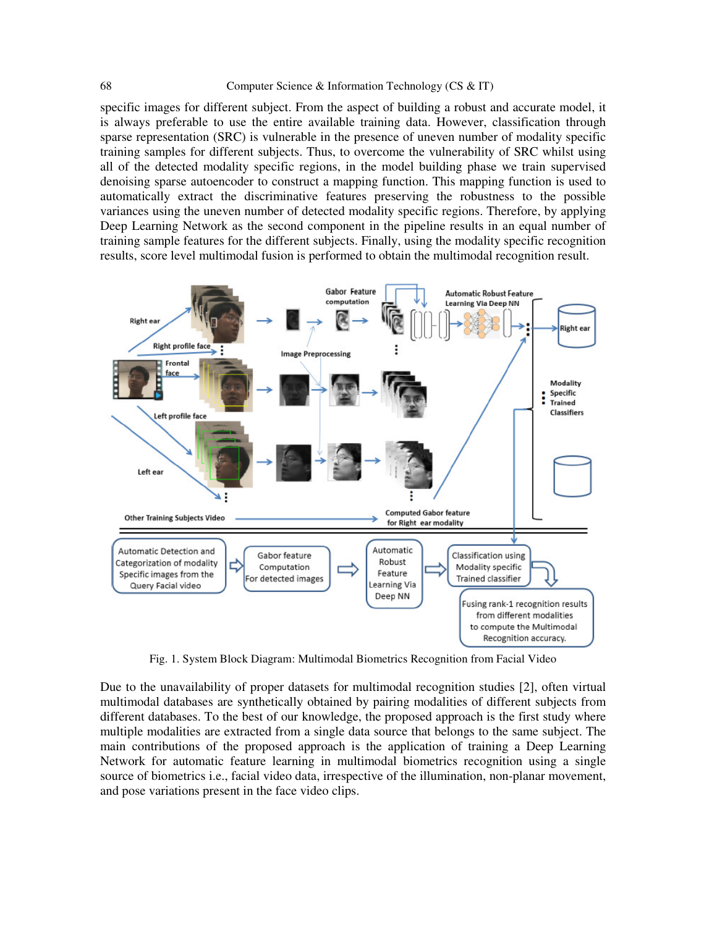#### 68 Computer Science & Information Technology (CS & IT)

specific images for different subject. From the aspect of building a robust and accurate model, it is always preferable to use the entire available training data. However, classification through sparse representation (SRC) is vulnerable in the presence of uneven number of modality specific training samples for different subjects. Thus, to overcome the vulnerability of SRC whilst using all of the detected modality specific regions, in the model building phase we train supervised denoising sparse autoencoder to construct a mapping function. This mapping function is used to automatically extract the discriminative features preserving the robustness to the possible variances using the uneven number of detected modality specific regions. Therefore, by applying Deep Learning Network as the second component in the pipeline results in an equal number of training sample features for the different subjects. Finally, using the modality specific recognition results, score level multimodal fusion is performed to obtain the multimodal recognition result.



Fig. 1. System Block Diagram: Multimodal Biometrics Recognition from Facial Video

Due to the unavailability of proper datasets for multimodal recognition studies [2], often virtual multimodal databases are synthetically obtained by pairing modalities of different subjects from different databases. To the best of our knowledge, the proposed approach is the first study where multiple modalities are extracted from a single data source that belongs to the same subject. The main contributions of the proposed approach is the application of training a Deep Learning Network for automatic feature learning in multimodal biometrics recognition using a single source of biometrics i.e., facial video data, irrespective of the illumination, non-planar movement, and pose variations present in the face video clips.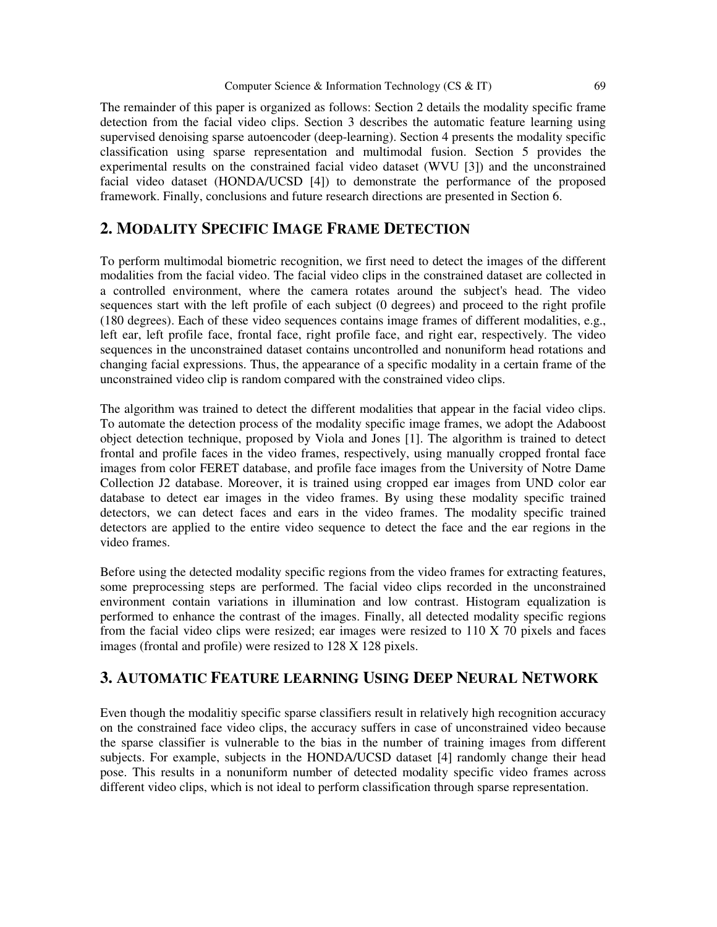### Computer Science & Information Technology (CS & IT) 69

The remainder of this paper is organized as follows: Section 2 details the modality specific frame detection from the facial video clips. Section 3 describes the automatic feature learning using supervised denoising sparse autoencoder (deep-learning). Section 4 presents the modality specific classification using sparse representation and multimodal fusion. Section 5 provides the experimental results on the constrained facial video dataset (WVU [3]) and the unconstrained facial video dataset (HONDA/UCSD [4]) to demonstrate the performance of the proposed framework. Finally, conclusions and future research directions are presented in Section 6.

# **2. MODALITY SPECIFIC IMAGE FRAME DETECTION**

To perform multimodal biometric recognition, we first need to detect the images of the different modalities from the facial video. The facial video clips in the constrained dataset are collected in a controlled environment, where the camera rotates around the subject's head. The video sequences start with the left profile of each subject (0 degrees) and proceed to the right profile (180 degrees). Each of these video sequences contains image frames of different modalities, e.g., left ear, left profile face, frontal face, right profile face, and right ear, respectively. The video sequences in the unconstrained dataset contains uncontrolled and nonuniform head rotations and changing facial expressions. Thus, the appearance of a specific modality in a certain frame of the unconstrained video clip is random compared with the constrained video clips.

The algorithm was trained to detect the different modalities that appear in the facial video clips. To automate the detection process of the modality specific image frames, we adopt the Adaboost object detection technique, proposed by Viola and Jones [1]. The algorithm is trained to detect frontal and profile faces in the video frames, respectively, using manually cropped frontal face images from color FERET database, and profile face images from the University of Notre Dame Collection J2 database. Moreover, it is trained using cropped ear images from UND color ear database to detect ear images in the video frames. By using these modality specific trained detectors, we can detect faces and ears in the video frames. The modality specific trained detectors are applied to the entire video sequence to detect the face and the ear regions in the video frames.

Before using the detected modality specific regions from the video frames for extracting features, some preprocessing steps are performed. The facial video clips recorded in the unconstrained environment contain variations in illumination and low contrast. Histogram equalization is performed to enhance the contrast of the images. Finally, all detected modality specific regions from the facial video clips were resized; ear images were resized to 110 X 70 pixels and faces images (frontal and profile) were resized to 128 X 128 pixels.

# **3. AUTOMATIC FEATURE LEARNING USING DEEP NEURAL NETWORK**

Even though the modalitiy specific sparse classifiers result in relatively high recognition accuracy on the constrained face video clips, the accuracy suffers in case of unconstrained video because the sparse classifier is vulnerable to the bias in the number of training images from different subjects. For example, subjects in the HONDA/UCSD dataset [4] randomly change their head pose. This results in a nonuniform number of detected modality specific video frames across different video clips, which is not ideal to perform classification through sparse representation.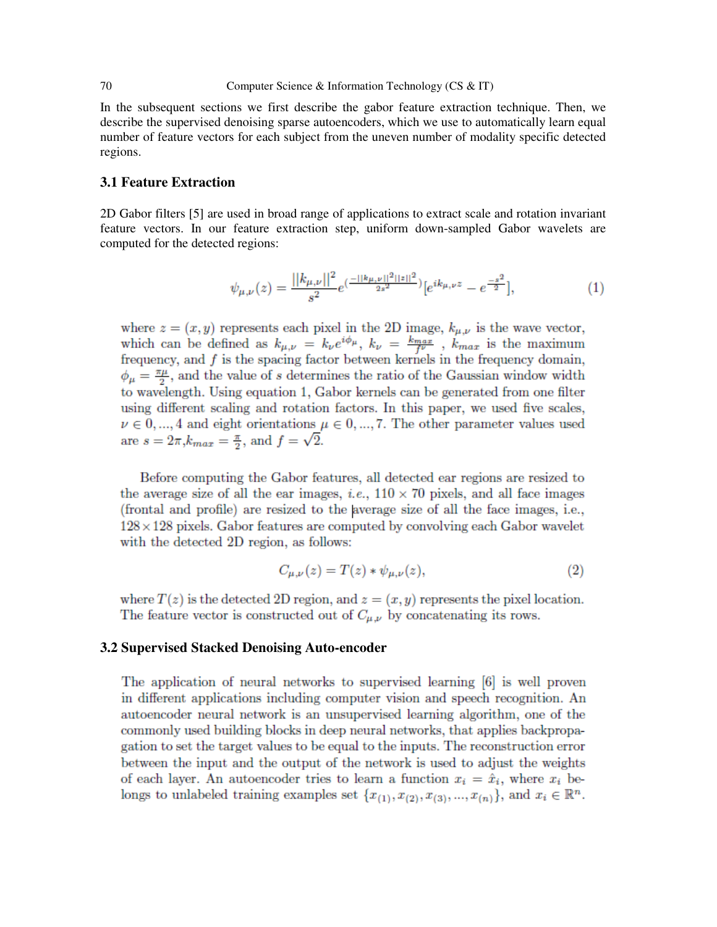#### 70 Computer Science & Information Technology (CS & IT)

In the subsequent sections we first describe the gabor feature extraction technique. Then, we describe the supervised denoising sparse autoencoders, which we use to automatically learn equal number of feature vectors for each subject from the uneven number of modality specific detected regions.

### **3.1 Feature Extraction**

2D Gabor filters [5] are used in broad range of applications to extract scale and rotation invariant feature vectors. In our feature extraction step, uniform down-sampled Gabor wavelets are computed for the detected regions:

$$
\psi_{\mu,\nu}(z) = \frac{||k_{\mu,\nu}||^2}{s^2} e^{(\frac{-||k_{\mu,\nu}||^2||z||^2}{2s^2})} [e^{ik_{\mu,\nu}z} - e^{\frac{-s^2}{2}}],\tag{1}
$$

where  $z = (x, y)$  represents each pixel in the 2D image,  $k_{\mu,\nu}$  is the wave vector, which can be defined as  $k_{\mu,\nu} = k_{\nu}e^{i\phi_{\mu}}, k_{\nu} = \frac{k_{max}}{f^{\nu}}$ ,  $k_{max}$  is the maximum frequency, and  $f$  is the spacing factor between kernels in the frequency domain,  $\phi_{\mu} = \frac{\pi \mu}{2}$ , and the value of s determines the ratio of the Gaussian window width to wavelength. Using equation 1, Gabor kernels can be generated from one filter using different scaling and rotation factors. In this paper, we used five scales,  $\nu \in 0, ..., 4$  and eight orientations  $\mu \in 0, ..., 7$ . The other parameter values used are  $s = 2\pi, k_{max} = \frac{\pi}{2}$ , and  $f = \sqrt{2}$ .

Before computing the Gabor features, all detected ear regions are resized to the average size of all the ear images, *i.e.*,  $110 \times 70$  pixels, and all face images (frontal and profile) are resized to the average size of all the face images, i.e.,  $128 \times 128$  pixels. Gabor features are computed by convolving each Gabor wavelet with the detected 2D region, as follows:

$$
C_{\mu,\nu}(z) = T(z) * \psi_{\mu,\nu}(z),
$$
 (2)

where  $T(z)$  is the detected 2D region, and  $z = (x, y)$  represents the pixel location. The feature vector is constructed out of  $C_{\mu,\nu}$  by concatenating its rows.

### **3.2 Supervised Stacked Denoising Auto-encoder**

The application of neural networks to supervised learning  $[6]$  is well proven in different applications including computer vision and speech recognition. An autoencoder neural network is an unsupervised learning algorithm, one of the commonly used building blocks in deep neural networks, that applies backpropagation to set the target values to be equal to the inputs. The reconstruction error between the input and the output of the network is used to adjust the weights of each layer. An autoencoder tries to learn a function  $x_i = \hat{x}_i$ , where  $x_i$  belongs to unlabeled training examples set  $\{x_{(1)}, x_{(2)}, x_{(3)}, ..., x_{(n)}\}$ , and  $x_i \in \mathbb{R}^n$ .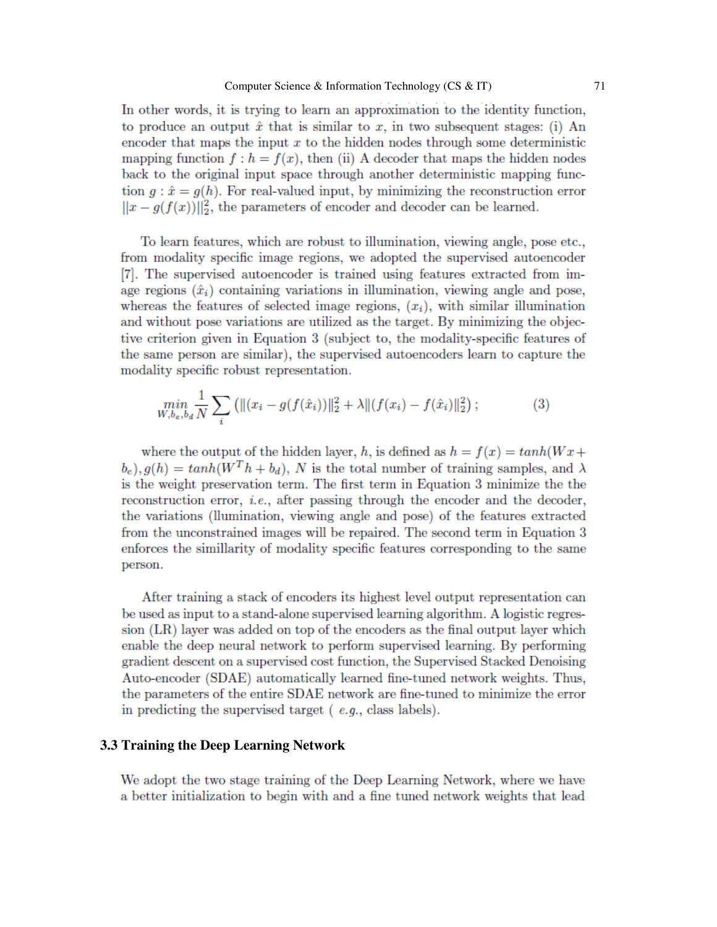In other words, it is trying to learn an approximation to the identity function, to produce an output  $\hat{x}$  that is similar to x, in two subsequent stages: (i) An encoder that maps the input  $x$  to the hidden nodes through some deterministic mapping function  $f: h = f(x)$ , then (ii) A decoder that maps the hidden nodes back to the original input space through another deterministic mapping function  $g: \hat{x} = g(h)$ . For real-valued input, by minimizing the reconstruction error  $||x - g(f(x))||_2^2$ , the parameters of encoder and decoder can be learned.

To learn features, which are robust to illumination, viewing angle, pose etc., from modality specific image regions, we adopted the supervised autoencoder [7]. The supervised autoencoder is trained using features extracted from image regions  $(\hat{x}_i)$  containing variations in illumination, viewing angle and pose, whereas the features of selected image regions,  $(x_i)$ , with similar illumination and without pose variations are utilized as the target. By minimizing the objective criterion given in Equation 3 (subject to, the modality-specific features of the same person are similar), the supervised autoencoders learn to capture the modality specific robust representation.

$$
\min_{W, b_e, b_d} \frac{1}{N} \sum_i \left( \| (x_i - g(f(\hat{x}_i)) \|_2^2 + \lambda \| (f(x_i) - f(\hat{x}_i) \|_2^2) \right); \tag{3}
$$

where the output of the hidden layer, h, is defined as  $h = f(x) = tanh(Wx +$  $(b_e)$ ,  $g(h) = tanh(W^T h + b_d)$ , N is the total number of training samples, and  $\lambda$ is the weight preservation term. The first term in Equation 3 minimize the the reconstruction error, *i.e.*, after passing through the encoder and the decoder, the variations (llumination, viewing angle and pose) of the features extracted from the unconstrained images will be repaired. The second term in Equation 3 enforces the similarity of modality specific features corresponding to the same person.

After training a stack of encoders its highest level output representation can be used as input to a stand-alone supervised learning algorithm. A logistic regression (LR) layer was added on top of the encoders as the final output layer which enable the deep neural network to perform supervised learning. By performing gradient descent on a supervised cost function, the Supervised Stacked Denoising Auto-encoder (SDAE) automatically learned fine-tuned network weights. Thus, the parameters of the entire SDAE network are fine-tuned to minimize the error in predicting the supervised target  $(e.g., class labels).$ 

### **3.3 Training the Deep Learning Network**

We adopt the two stage training of the Deep Learning Network, where we have a better initialization to begin with and a fine tuned network weights that lead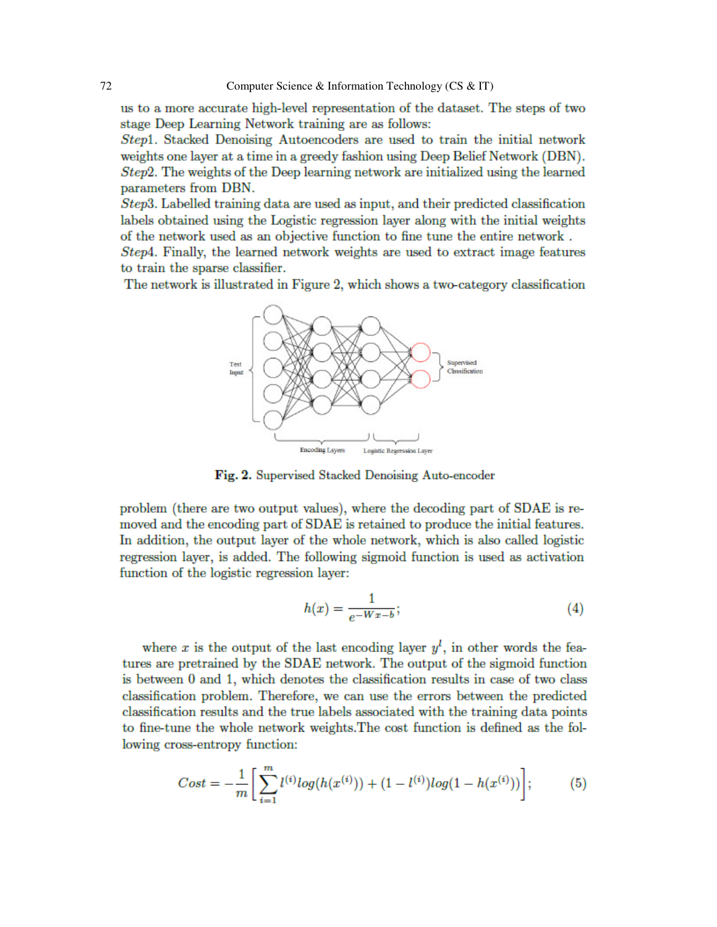us to a more accurate high-level representation of the dataset. The steps of two stage Deep Learning Network training are as follows:

*Step1*. Stacked Denoising Autoencoders are used to train the initial network weights one layer at a time in a greedy fashion using Deep Belief Network (DBN). Step2. The weights of the Deep learning network are initialized using the learned parameters from DBN.

Step3. Labelled training data are used as input, and their predicted classification labels obtained using the Logistic regression layer along with the initial weights of the network used as an objective function to fine tune the entire network.

*Step4*. Finally, the learned network weights are used to extract image features to train the sparse classifier.

The network is illustrated in Figure 2, which shows a two-category classification



Fig. 2. Supervised Stacked Denoising Auto-encoder

problem (there are two output values), where the decoding part of SDAE is removed and the encoding part of SDAE is retained to produce the initial features. In addition, the output layer of the whole network, which is also called logistic regression layer, is added. The following sigmoid function is used as activation function of the logistic regression layer:

$$
h(x) = \frac{1}{e^{-Wx - b}};
$$
\n<sup>(4)</sup>

where x is the output of the last encoding layer  $y^l$ , in other words the features are pretrained by the SDAE network. The output of the sigmoid function is between 0 and 1, which denotes the classification results in case of two class classification problem. Therefore, we can use the errors between the predicted classification results and the true labels associated with the training data points to fine-tune the whole network weights. The cost function is defined as the following cross-entropy function:

$$
Cost = -\frac{1}{m} \bigg[ \sum_{i=1}^{m} l^{(i)} log(h(x^{(i)})) + (1 - l^{(i)}) log(1 - h(x^{(i)})) \bigg];
$$
 (5)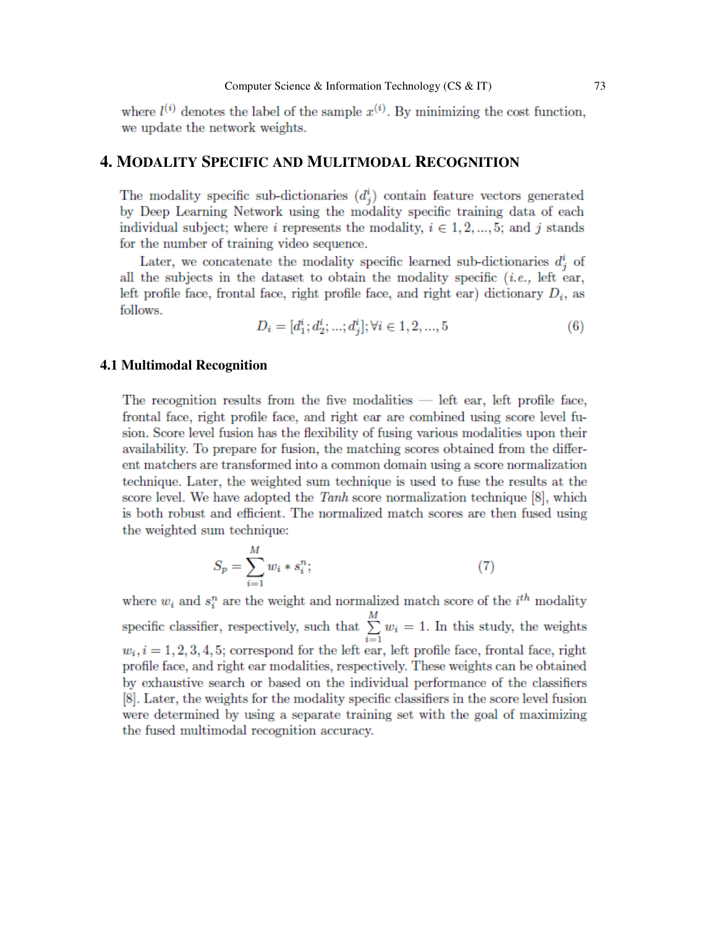where  $l^{(i)}$  denotes the label of the sample  $x^{(i)}$ . By minimizing the cost function, we update the network weights.

### **4. MODALITY SPECIFIC AND MULITMODAL RECOGNITION**

The modality specific sub-dictionaries  $(d_i^i)$  contain feature vectors generated by Deep Learning Network using the modality specific training data of each individual subject; where i represents the modality,  $i \in {1, 2, ..., 5}$ ; and j stands for the number of training video sequence.

Later, we concatenate the modality specific learned sub-dictionaries  $d_i^i$  of all the subjects in the dataset to obtain the modality specific  $(i.e.,$  left ear, left profile face, frontal face, right profile face, and right ear) dictionary  $D_i$ , as follows.

$$
D_i = [d_1^i; d_2^i; \dots; d_i^i]; \forall i \in 1, 2, \dots, 5
$$
\n
$$
(6)
$$

### **4.1 Multimodal Recognition**

The recognition results from the five modalities  $-$  left ear, left profile face, frontal face, right profile face, and right ear are combined using score level fusion. Score level fusion has the flexibility of fusing various modalities upon their availability. To prepare for fusion, the matching scores obtained from the different matchers are transformed into a common domain using a score normalization technique. Later, the weighted sum technique is used to fuse the results at the score level. We have adopted the Tanh score normalization technique  $[8]$ , which is both robust and efficient. The normalized match scores are then fused using the weighted sum technique:

$$
S_p = \sum_{i=1}^{M} w_i * s_i^n; \tag{7}
$$

where  $w_i$  and  $s_i^n$  are the weight and normalized match score of the  $i^{th}$  modality specific classifier, respectively, such that  $\sum_{i=1}^{M} w_i = 1$ . In this study, the weights  $w_i$ ,  $i = 1, 2, 3, 4, 5$ ; correspond for the left ear, left profile face, frontal face, right profile face, and right ear modalities, respectively. These weights can be obtained by exhaustive search or based on the individual performance of the classifiers [8]. Later, the weights for the modality specific classifiers in the score level fusion were determined by using a separate training set with the goal of maximizing the fused multimodal recognition accuracy.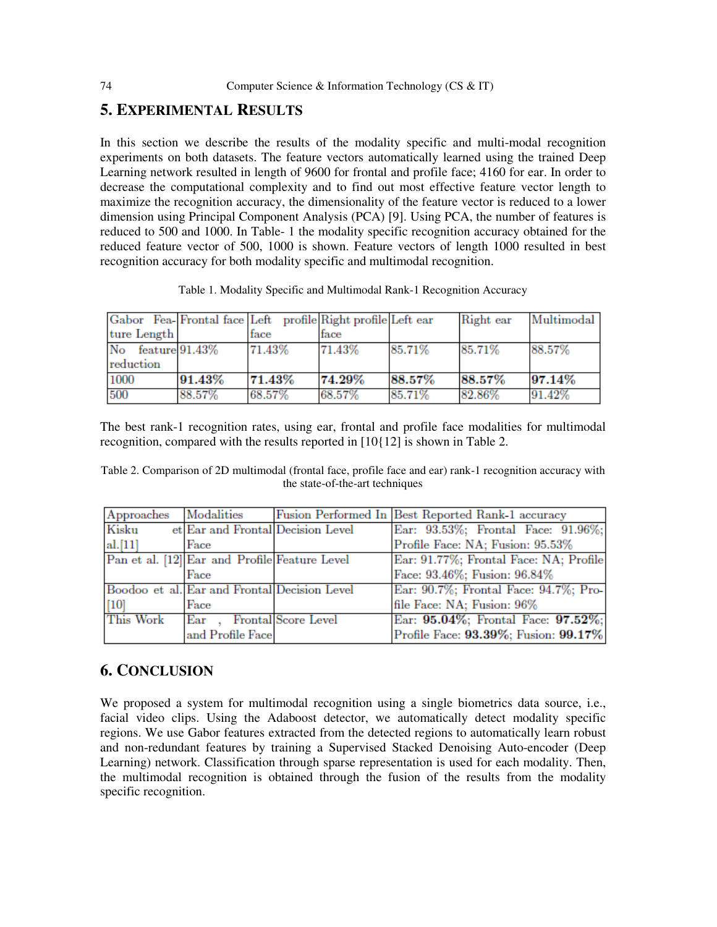## **5. EXPERIMENTAL RESULTS**

In this section we describe the results of the modality specific and multi-modal recognition experiments on both datasets. The feature vectors automatically learned using the trained Deep Learning network resulted in length of 9600 for frontal and profile face; 4160 for ear. In order to decrease the computational complexity and to find out most effective feature vector length to maximize the recognition accuracy, the dimensionality of the feature vector is reduced to a lower dimension using Principal Component Analysis (PCA) [9]. Using PCA, the number of features is reduced to 500 and 1000. In Table- 1 the modality specific recognition accuracy obtained for the reduced feature vector of 500, 1000 is shown. Feature vectors of length 1000 resulted in best recognition accuracy for both modality specific and multimodal recognition.

Table 1. Modality Specific and Multimodal Rank-1 Recognition Accuracy

|                   |        | Gabor Fea-Frontal face Left profile Right profile Left ear |        |        | Right ear | Multimodal |
|-------------------|--------|------------------------------------------------------------|--------|--------|-----------|------------|
| ture Length       |        | face                                                       | face   |        |           |            |
| No feature 91.43% |        | 71.43%                                                     | 71.43% | 85.71% | 85.71%    | 88.57%     |
| reduction         |        |                                                            |        |        |           |            |
| 1000              | 91.43% | 71.43%                                                     | 74.29% | 88.57% | 88.57%    | 97.14%     |
| 500               | 88.57% | 68.57%                                                     | 68.57% | 85.71% | 82.86%    | 91.42%     |

The best rank-1 recognition rates, using ear, frontal and profile face modalities for multimodal recognition, compared with the results reported in [10{12] is shown in Table 2.

Table 2. Comparison of 2D multimodal (frontal face, profile face and ear) rank-1 recognition accuracy with the state-of-the-art techniques

| Approaches | Modalities                                    |                            | Fusion Performed In Best Reported Rank-1 accuracy |
|------------|-----------------------------------------------|----------------------------|---------------------------------------------------|
| Kisku      | et Ear and Frontal Decision Level             |                            | Ear: 93.53%; Frontal Face: 91.96%;                |
| al.[11]    | Face                                          |                            | Profile Face: NA; Fusion: 95.53%                  |
|            | Pan et al. [12] Ear and Profile Feature Level |                            | Ear: 91.77%; Frontal Face: NA; Profile            |
|            | Face                                          |                            | Face: 93.46%; Fusion: 96.84%                      |
|            | Boodoo et al. Ear and Frontal Decision Level  |                            | Ear: 90.7%; Frontal Face: 94.7%; Pro-             |
| [10]       | Face                                          |                            | file Face: NA; Fusion: 96%                        |
| This Work  | Ear.                                          | <b>Frontal Score Level</b> | Ear: 95.04%; Frontal Face: 97.52%;                |
|            | and Profile Face                              |                            | Profile Face: 93.39%; Fusion: 99.17%              |

# **6. CONCLUSION**

We proposed a system for multimodal recognition using a single biometrics data source, i.e., facial video clips. Using the Adaboost detector, we automatically detect modality specific regions. We use Gabor features extracted from the detected regions to automatically learn robust and non-redundant features by training a Supervised Stacked Denoising Auto-encoder (Deep Learning) network. Classification through sparse representation is used for each modality. Then, the multimodal recognition is obtained through the fusion of the results from the modality specific recognition.